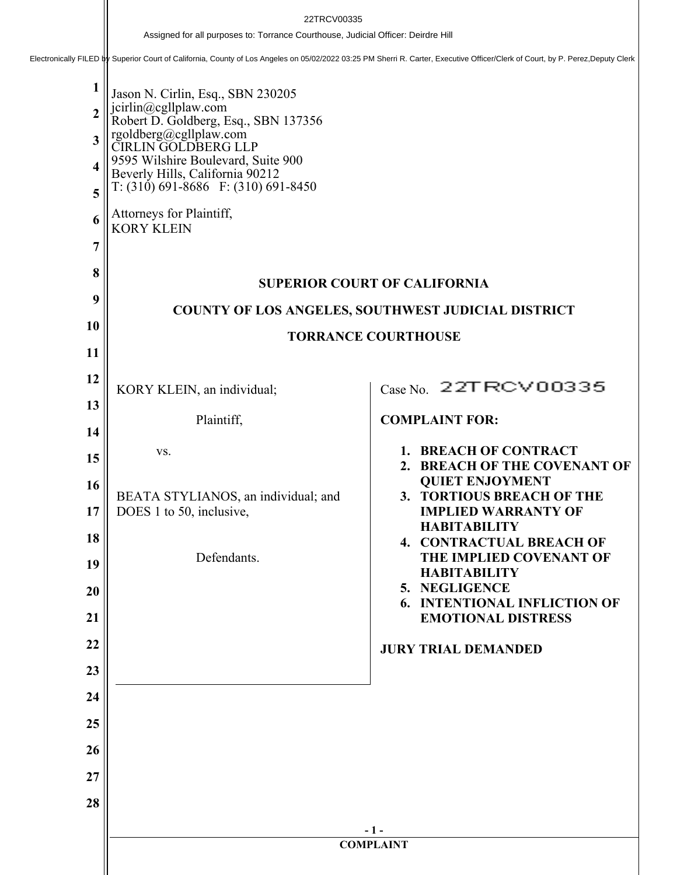**1 2 3 4 5 6 7 8 9 10 11 12 13 14 15 16 17 18 19 20 21 22 23 24 25 26 27 28 - 1 - COMPLAINT** Jason N. Cirlin, Esq., SBN 230205 jcirlin@cgllplaw.com Robert D. Goldberg, Esq., SBN 137356 rgoldberg@cgllplaw.com CIRLIN GOLDBERG LLP 9595 Wilshire Boulevard, Suite 900 Beverly Hills, California 90212 T: (310) 691-8686 F: (310) 691-8450 Attorneys for Plaintiff, KORY KLEIN **SUPERIOR COURT OF CALIFORNIA COUNTY OF LOS ANGELES, SOUTHWEST JUDICIAL DISTRICT TORRANCE COURTHOUSE** KORY KLEIN, an individual; Plaintiff, vs. BEATA STYLIANOS, an individual; and DOES 1 to 50, inclusive, Defendants. Case No. 22TRCV00335 **COMPLAINT FOR: 1. BREACH OF CONTRACT 2. BREACH OF THE COVENANT OF QUIET ENJOYMENT 3. TORTIOUS BREACH OF THE IMPLIED WARRANTY OF HABITABILITY 4. CONTRACTUAL BREACH OF THE IMPLIED COVENANT OF HABITABILITY 5. NEGLIGENCE 6. INTENTIONAL INFLICTION OF EMOTIONAL DISTRESS JURY TRIAL DEMANDED** Assigned for all purposes to: Torrance Courthouse, Judicial Officer: Deirdre Hill<br>Electronically FILED by Superior Court of California, County of Los Angeles on 05/02/2022 03:25 PM Sherri R. Carter, Executive Officer/Clerk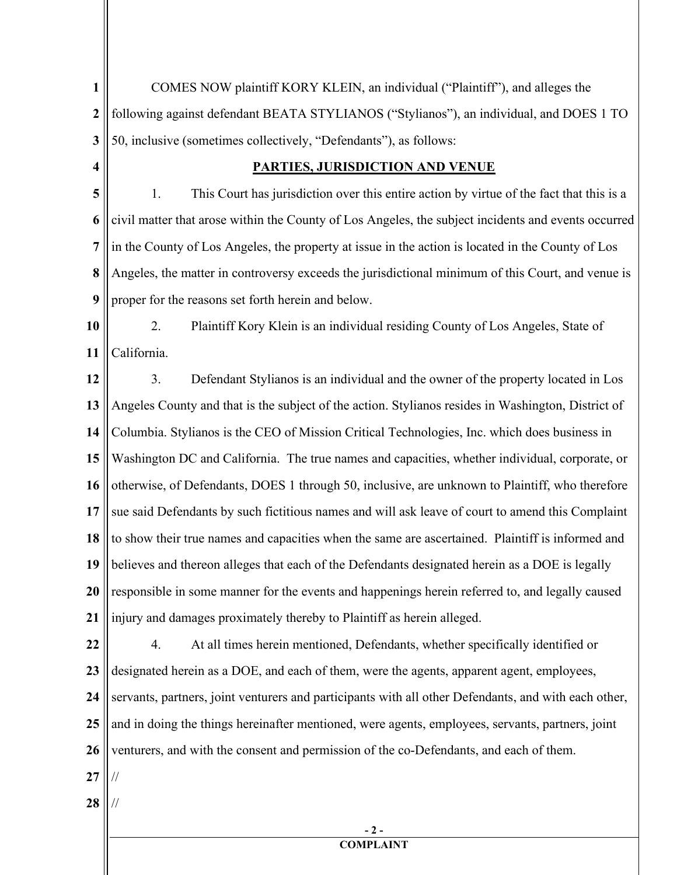**1 2 3** COMES NOW plaintiff KORY KLEIN, an individual ("Plaintiff"), and alleges the following against defendant BEATA STYLIANOS ("Stylianos"), an individual, and DOES 1 TO 50, inclusive (sometimes collectively, "Defendants"), as follows:

**4**

## **PARTIES, JURISDICTION AND VENUE**

**5 6 7 8 9** 1. This Court has jurisdiction over this entire action by virtue of the fact that this is a civil matter that arose within the County of Los Angeles, the subject incidents and events occurred in the County of Los Angeles, the property at issue in the action is located in the County of Los Angeles, the matter in controversy exceeds the jurisdictional minimum of this Court, and venue is proper for the reasons set forth herein and below.

**10 11** 2. Plaintiff Kory Klein is an individual residing County of Los Angeles, State of California.

**12 13 14 15 16 17 18 19 20 21** 3. Defendant Stylianos is an individual and the owner of the property located in Los Angeles County and that is the subject of the action. Stylianos resides in Washington, District of Columbia. Stylianos is the CEO of Mission Critical Technologies, Inc. which does business in Washington DC and California. The true names and capacities, whether individual, corporate, or otherwise, of Defendants, DOES 1 through 50, inclusive, are unknown to Plaintiff, who therefore sue said Defendants by such fictitious names and will ask leave of court to amend this Complaint to show their true names and capacities when the same are ascertained. Plaintiff is informed and believes and thereon alleges that each of the Defendants designated herein as a DOE is legally responsible in some manner for the events and happenings herein referred to, and legally caused injury and damages proximately thereby to Plaintiff as herein alleged.

**22 23 24 25 26** 4. At all times herein mentioned, Defendants, whether specifically identified or designated herein as a DOE, and each of them, were the agents, apparent agent, employees, servants, partners, joint venturers and participants with all other Defendants, and with each other, and in doing the things hereinafter mentioned, were agents, employees, servants, partners, joint venturers, and with the consent and permission of the co-Defendants, and each of them.

- **27** //
- **28** //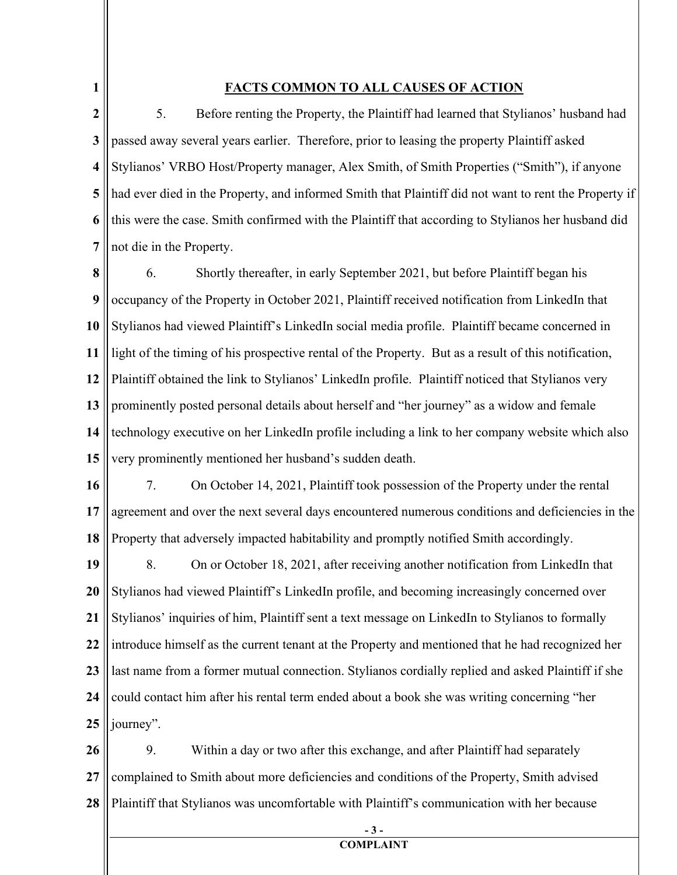**1**

## **FACTS COMMON TO ALL CAUSES OF ACTION**

**2 3 4 5 6 7** 5. Before renting the Property, the Plaintiff had learned that Stylianos' husband had passed away several years earlier. Therefore, prior to leasing the property Plaintiff asked Stylianos' VRBO Host/Property manager, Alex Smith, of Smith Properties ("Smith"), if anyone had ever died in the Property, and informed Smith that Plaintiff did not want to rent the Property if this were the case. Smith confirmed with the Plaintiff that according to Stylianos her husband did not die in the Property.

**8 9 10 11 12 13 14 15** 6. Shortly thereafter, in early September 2021, but before Plaintiff began his occupancy of the Property in October 2021, Plaintiff received notification from LinkedIn that Stylianos had viewed Plaintiff's LinkedIn social media profile. Plaintiff became concerned in light of the timing of his prospective rental of the Property. But as a result of this notification, Plaintiff obtained the link to Stylianos' LinkedIn profile. Plaintiff noticed that Stylianos very prominently posted personal details about herself and "her journey" as a widow and female technology executive on her LinkedIn profile including a link to her company website which also very prominently mentioned her husband's sudden death.

**16 17 18** 7. On October 14, 2021, Plaintiff took possession of the Property under the rental agreement and over the next several days encountered numerous conditions and deficiencies in the Property that adversely impacted habitability and promptly notified Smith accordingly.

**19 20 21 22 23 24 25** 8. On or October 18, 2021, after receiving another notification from LinkedIn that Stylianos had viewed Plaintiff's LinkedIn profile, and becoming increasingly concerned over Stylianos' inquiries of him, Plaintiff sent a text message on LinkedIn to Stylianos to formally introduce himself as the current tenant at the Property and mentioned that he had recognized her last name from a former mutual connection. Stylianos cordially replied and asked Plaintiff if she could contact him after his rental term ended about a book she was writing concerning "her journey".

**26 27 28** 9. Within a day or two after this exchange, and after Plaintiff had separately complained to Smith about more deficiencies and conditions of the Property, Smith advised Plaintiff that Stylianos was uncomfortable with Plaintiff's communication with her because

> **- 3 - COMPLAINT**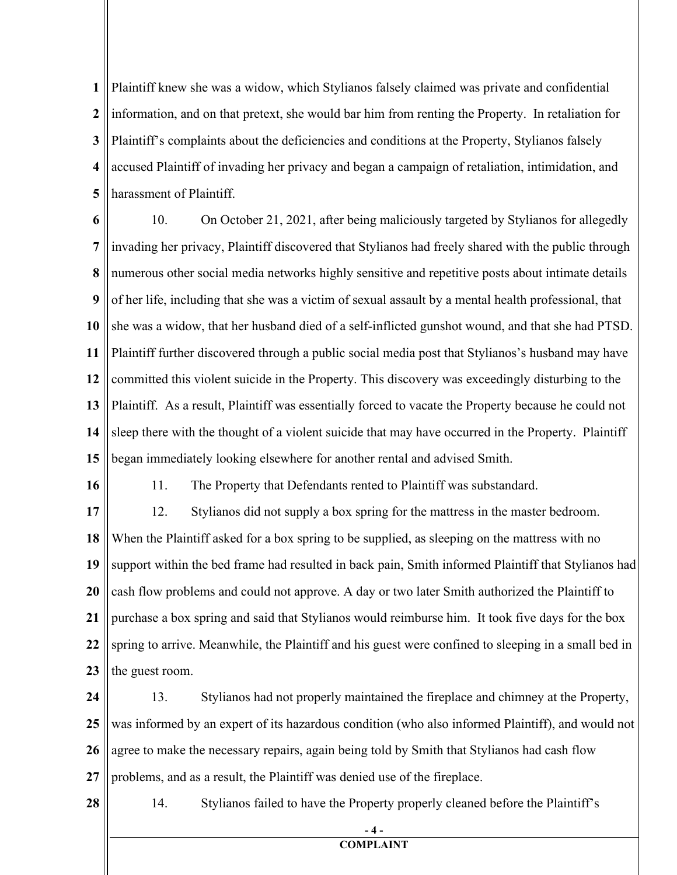**1 2 3 4 5** Plaintiff knew she was a widow, which Stylianos falsely claimed was private and confidential information, and on that pretext, she would bar him from renting the Property. In retaliation for Plaintiff's complaints about the deficiencies and conditions at the Property, Stylianos falsely accused Plaintiff of invading her privacy and began a campaign of retaliation, intimidation, and harassment of Plaintiff.

**6 7 8 9 10 11 12 13 14 15** 10. On October 21, 2021, after being maliciously targeted by Stylianos for allegedly invading her privacy, Plaintiff discovered that Stylianos had freely shared with the public through numerous other social media networks highly sensitive and repetitive posts about intimate details of her life, including that she was a victim of sexual assault by a mental health professional, that she was a widow, that her husband died of a self-inflicted gunshot wound, and that she had PTSD. Plaintiff further discovered through a public social media post that Stylianos's husband may have committed this violent suicide in the Property. This discovery was exceedingly disturbing to the Plaintiff. As a result, Plaintiff was essentially forced to vacate the Property because he could not sleep there with the thought of a violent suicide that may have occurred in the Property. Plaintiff began immediately looking elsewhere for another rental and advised Smith.

**16**

**28**

11. The Property that Defendants rented to Plaintiff was substandard.

**17 18 19 20 21 22 23** 12. Stylianos did not supply a box spring for the mattress in the master bedroom. When the Plaintiff asked for a box spring to be supplied, as sleeping on the mattress with no support within the bed frame had resulted in back pain, Smith informed Plaintiff that Stylianos had cash flow problems and could not approve. A day or two later Smith authorized the Plaintiff to purchase a box spring and said that Stylianos would reimburse him. It took five days for the box spring to arrive. Meanwhile, the Plaintiff and his guest were confined to sleeping in a small bed in the guest room.

**24 25 26 27** 13. Stylianos had not properly maintained the fireplace and chimney at the Property, was informed by an expert of its hazardous condition (who also informed Plaintiff), and would not agree to make the necessary repairs, again being told by Smith that Stylianos had cash flow problems, and as a result, the Plaintiff was denied use of the fireplace.

14. Stylianos failed to have the Property properly cleaned before the Plaintiff's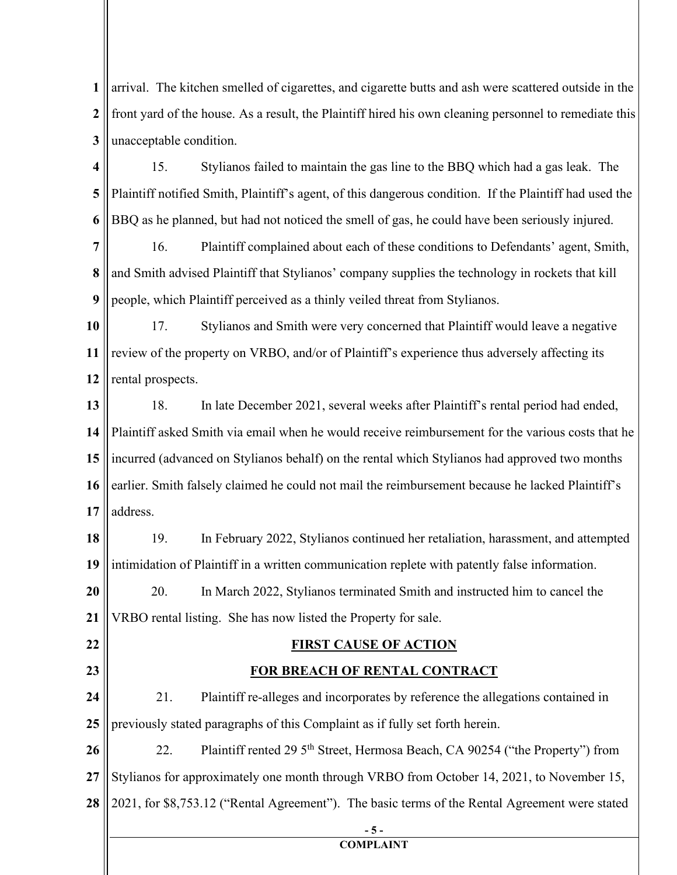**1 2 3** arrival. The kitchen smelled of cigarettes, and cigarette butts and ash were scattered outside in the front yard of the house. As a result, the Plaintiff hired his own cleaning personnel to remediate this unacceptable condition.

**4 5 6** 15. Stylianos failed to maintain the gas line to the BBQ which had a gas leak. The Plaintiff notified Smith, Plaintiff's agent, of this dangerous condition. If the Plaintiff had used the BBQ as he planned, but had not noticed the smell of gas, he could have been seriously injured.

**7 8 9** 16. Plaintiff complained about each of these conditions to Defendants' agent, Smith, and Smith advised Plaintiff that Stylianos' company supplies the technology in rockets that kill people, which Plaintiff perceived as a thinly veiled threat from Stylianos.

**10 11 12** 17. Stylianos and Smith were very concerned that Plaintiff would leave a negative review of the property on VRBO, and/or of Plaintiff's experience thus adversely affecting its rental prospects.

**13 14 15 16 17** 18. In late December 2021, several weeks after Plaintiff's rental period had ended, Plaintiff asked Smith via email when he would receive reimbursement for the various costs that he incurred (advanced on Stylianos behalf) on the rental which Stylianos had approved two months earlier. Smith falsely claimed he could not mail the reimbursement because he lacked Plaintiff's address.

**18 19** 19. In February 2022, Stylianos continued her retaliation, harassment, and attempted intimidation of Plaintiff in a written communication replete with patently false information.

**20 21** 20. In March 2022, Stylianos terminated Smith and instructed him to cancel the VRBO rental listing. She has now listed the Property for sale.

**22**

**23**

## **FIRST CAUSE OF ACTION**

## **FOR BREACH OF RENTAL CONTRACT**

**24 25** 21. Plaintiff re-alleges and incorporates by reference the allegations contained in previously stated paragraphs of this Complaint as if fully set forth herein.

**26 27 28** 22. Plaintiff rented 29 5<sup>th</sup> Street, Hermosa Beach, CA 90254 ("the Property") from Stylianos for approximately one month through VRBO from October 14, 2021, to November 15, 2021, for \$8,753.12 ("Rental Agreement"). The basic terms of the Rental Agreement were stated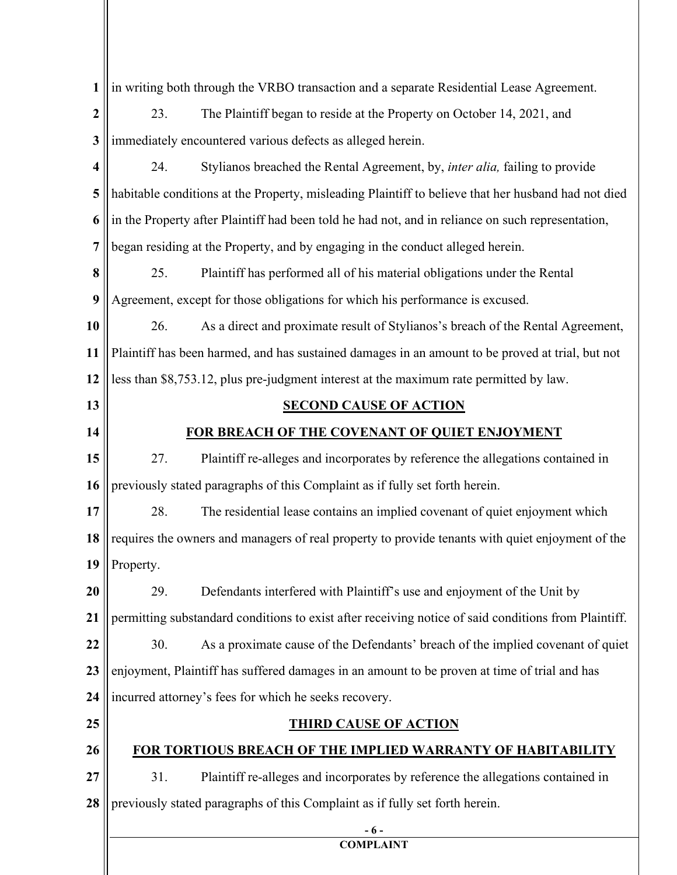| 1                | in writing both through the VRBO transaction and a separate Residential Lease Agreement.             |  |  |  |
|------------------|------------------------------------------------------------------------------------------------------|--|--|--|
| $\boldsymbol{2}$ | 23.<br>The Plaintiff began to reside at the Property on October 14, 2021, and                        |  |  |  |
| 3                | immediately encountered various defects as alleged herein.                                           |  |  |  |
| 4                | 24.<br>Stylianos breached the Rental Agreement, by, <i>inter alia</i> , failing to provide           |  |  |  |
| 5                | habitable conditions at the Property, misleading Plaintiff to believe that her husband had not died  |  |  |  |
| 6                | in the Property after Plaintiff had been told he had not, and in reliance on such representation,    |  |  |  |
| 7                | began residing at the Property, and by engaging in the conduct alleged herein.                       |  |  |  |
| 8                | 25.<br>Plaintiff has performed all of his material obligations under the Rental                      |  |  |  |
| 9                | Agreement, except for those obligations for which his performance is excused.                        |  |  |  |
| 10               | 26.<br>As a direct and proximate result of Stylianos's breach of the Rental Agreement,               |  |  |  |
| 11               | Plaintiff has been harmed, and has sustained damages in an amount to be proved at trial, but not     |  |  |  |
| 12               | less than \$8,753.12, plus pre-judgment interest at the maximum rate permitted by law.               |  |  |  |
| 13               | <b>SECOND CAUSE OF ACTION</b>                                                                        |  |  |  |
| 14               | FOR BREACH OF THE COVENANT OF QUIET ENJOYMENT                                                        |  |  |  |
| 15               | 27.<br>Plaintiff re-alleges and incorporates by reference the allegations contained in               |  |  |  |
| 16               | previously stated paragraphs of this Complaint as if fully set forth herein.                         |  |  |  |
| 17               | 28.<br>The residential lease contains an implied covenant of quiet enjoyment which                   |  |  |  |
| 18               | requires the owners and managers of real property to provide tenants with quiet enjoyment of the     |  |  |  |
| 19               | Property.                                                                                            |  |  |  |
| 20               | Defendants interfered with Plaintiff's use and enjoyment of the Unit by<br>29.                       |  |  |  |
| 21               | permitting substandard conditions to exist after receiving notice of said conditions from Plaintiff. |  |  |  |
| 22               | 30.<br>As a proximate cause of the Defendants' breach of the implied covenant of quiet               |  |  |  |
| 23               | enjoyment, Plaintiff has suffered damages in an amount to be proven at time of trial and has         |  |  |  |
| 24               | incurred attorney's fees for which he seeks recovery.                                                |  |  |  |
| 25               | <b>THIRD CAUSE OF ACTION</b>                                                                         |  |  |  |
| 26               | <b>FOR TORTIOUS BREACH OF THE IMPLIED WARRANTY OF HABITABILITY</b>                                   |  |  |  |
| 27               | 31.<br>Plaintiff re-alleges and incorporates by reference the allegations contained in               |  |  |  |
| 28               | previously stated paragraphs of this Complaint as if fully set forth herein.                         |  |  |  |
|                  | - 6 -<br><b>COMPLAINT</b>                                                                            |  |  |  |
|                  |                                                                                                      |  |  |  |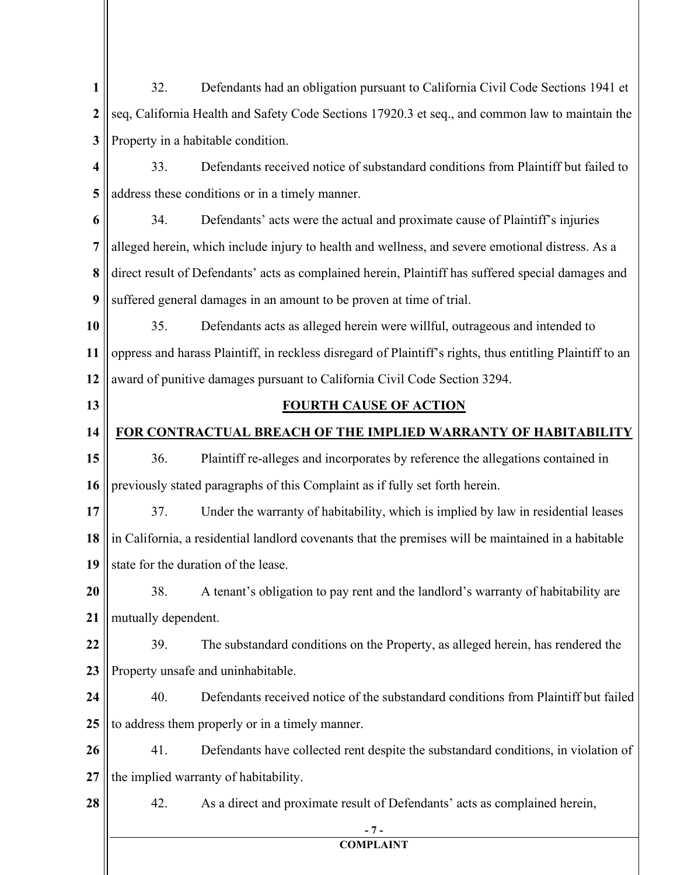**1 2 3 4 5 6 7 8 9 10 11 12 13 14 15 16 17 18 19 20 21 22 23 24 25 26 27 28 - 7 - COMPLAINT** 32. Defendants had an obligation pursuant to California Civil Code Sections 1941 et seq, California Health and Safety Code Sections 17920.3 et seq., and common law to maintain the Property in a habitable condition. 33. Defendants received notice of substandard conditions from Plaintiff but failed to address these conditions or in a timely manner. 34. Defendants' acts were the actual and proximate cause of Plaintiff's injuries alleged herein, which include injury to health and wellness, and severe emotional distress. As a direct result of Defendants' acts as complained herein, Plaintiff has suffered special damages and suffered general damages in an amount to be proven at time of trial. 35. Defendants acts as alleged herein were willful, outrageous and intended to oppress and harass Plaintiff, in reckless disregard of Plaintiff's rights, thus entitling Plaintiff to an award of punitive damages pursuant to California Civil Code Section 3294. **FOURTH CAUSE OF ACTION FOR CONTRACTUAL BREACH OF THE IMPLIED WARRANTY OF HABITABILITY** 36. Plaintiff re-alleges and incorporates by reference the allegations contained in previously stated paragraphs of this Complaint as if fully set forth herein. 37. Under the warranty of habitability, which is implied by law in residential leases in California, a residential landlord covenants that the premises will be maintained in a habitable state for the duration of the lease. 38. A tenant's obligation to pay rent and the landlord's warranty of habitability are mutually dependent. 39. The substandard conditions on the Property, as alleged herein, has rendered the Property unsafe and uninhabitable. 40. Defendants received notice of the substandard conditions from Plaintiff but failed to address them properly or in a timely manner. 41. Defendants have collected rent despite the substandard conditions, in violation of the implied warranty of habitability. 42. As a direct and proximate result of Defendants' acts as complained herein,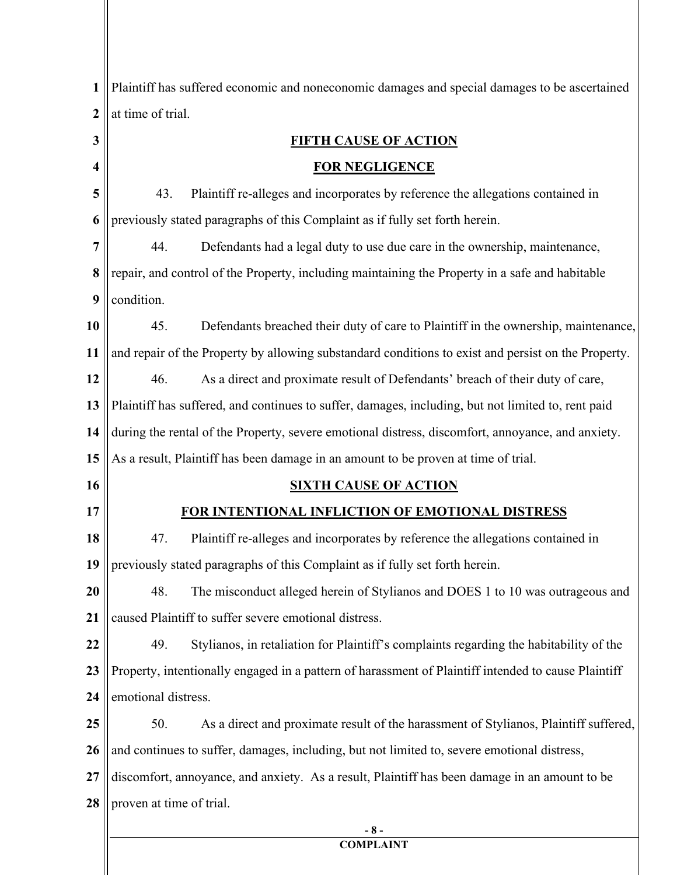| $\mathbf{1}$     | Plaintiff has suffered economic and noneconomic damages and special damages to be ascertained       |  |
|------------------|-----------------------------------------------------------------------------------------------------|--|
| $\boldsymbol{2}$ | at time of trial.                                                                                   |  |
| 3                | <b>FIFTH CAUSE OF ACTION</b>                                                                        |  |
| 4                | <b>FOR NEGLIGENCE</b>                                                                               |  |
| 5                | Plaintiff re-alleges and incorporates by reference the allegations contained in<br>43.              |  |
| 6                | previously stated paragraphs of this Complaint as if fully set forth herein.                        |  |
| 7                | Defendants had a legal duty to use due care in the ownership, maintenance,<br>44.                   |  |
| 8                | repair, and control of the Property, including maintaining the Property in a safe and habitable     |  |
| 9                | condition.                                                                                          |  |
| 10               | Defendants breached their duty of care to Plaintiff in the ownership, maintenance,<br>45.           |  |
| 11               | and repair of the Property by allowing substandard conditions to exist and persist on the Property. |  |
| 12               | As a direct and proximate result of Defendants' breach of their duty of care,<br>46.                |  |
| 13               | Plaintiff has suffered, and continues to suffer, damages, including, but not limited to, rent paid  |  |
| 14               | during the rental of the Property, severe emotional distress, discomfort, annoyance, and anxiety.   |  |
| 15               | As a result, Plaintiff has been damage in an amount to be proven at time of trial.                  |  |
| 16               | <b>SIXTH CAUSE OF ACTION</b>                                                                        |  |
| 17               | FOR INTENTIONAL INFLICTION OF EMOTIONAL DISTRESS                                                    |  |
| 18               | 47.<br>Plaintiff re-alleges and incorporates by reference the allegations contained in              |  |
| 19               | previously stated paragraphs of this Complaint as if fully set forth herein.                        |  |
| 20               | The misconduct alleged herein of Stylianos and DOES 1 to 10 was outrageous and<br>48.               |  |
| 21               | caused Plaintiff to suffer severe emotional distress.                                               |  |
| 22               | 49.<br>Stylianos, in retaliation for Plaintiff's complaints regarding the habitability of the       |  |
| 23               | Property, intentionally engaged in a pattern of harassment of Plaintiff intended to cause Plaintiff |  |
| 24               | emotional distress.                                                                                 |  |
| 25               | 50.<br>As a direct and proximate result of the harassment of Stylianos, Plaintiff suffered,         |  |
| 26               | and continues to suffer, damages, including, but not limited to, severe emotional distress,         |  |
| 27               | discomfort, annoyance, and anxiety. As a result, Plaintiff has been damage in an amount to be       |  |
| 28               | proven at time of trial.                                                                            |  |
|                  | $-8-$                                                                                               |  |

**COMPLAINT**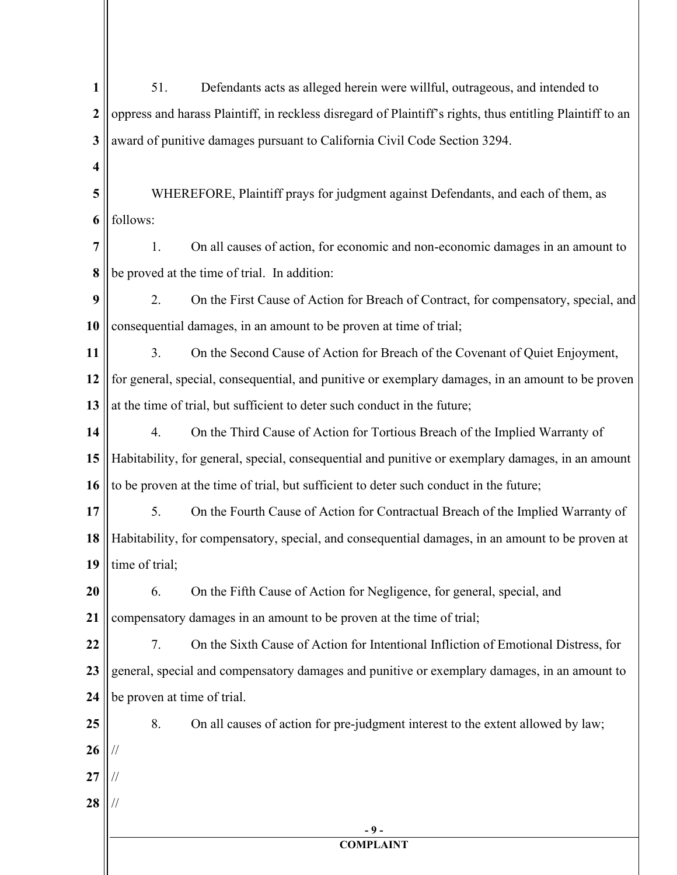| $\mathbf{1}$   | 51.<br>Defendants acts as alleged herein were willful, outrageous, and intended to                        |  |  |
|----------------|-----------------------------------------------------------------------------------------------------------|--|--|
| $\overline{2}$ | oppress and harass Plaintiff, in reckless disregard of Plaintiff's rights, thus entitling Plaintiff to an |  |  |
| 3              | award of punitive damages pursuant to California Civil Code Section 3294.                                 |  |  |
| 4              |                                                                                                           |  |  |
| 5              | WHEREFORE, Plaintiff prays for judgment against Defendants, and each of them, as                          |  |  |
| 6              | follows:                                                                                                  |  |  |
| $\overline{7}$ | On all causes of action, for economic and non-economic damages in an amount to<br>1.                      |  |  |
| 8              | be proved at the time of trial. In addition:                                                              |  |  |
| 9              | 2.<br>On the First Cause of Action for Breach of Contract, for compensatory, special, and                 |  |  |
| 10             | consequential damages, in an amount to be proven at time of trial;                                        |  |  |
| 11             | 3.<br>On the Second Cause of Action for Breach of the Covenant of Quiet Enjoyment,                        |  |  |
| 12             | for general, special, consequential, and punitive or exemplary damages, in an amount to be proven         |  |  |
| 13             | at the time of trial, but sufficient to deter such conduct in the future;                                 |  |  |
| 14             | 4.<br>On the Third Cause of Action for Tortious Breach of the Implied Warranty of                         |  |  |
| 15             | Habitability, for general, special, consequential and punitive or exemplary damages, in an amount         |  |  |
| 16             | to be proven at the time of trial, but sufficient to deter such conduct in the future;                    |  |  |
| 17             | 5.<br>On the Fourth Cause of Action for Contractual Breach of the Implied Warranty of                     |  |  |
| 18             | Habitability, for compensatory, special, and consequential damages, in an amount to be proven at          |  |  |
|                | 19 $\parallel$ time of trial;                                                                             |  |  |
| 20             | On the Fifth Cause of Action for Negligence, for general, special, and<br>6.                              |  |  |
| 21             | compensatory damages in an amount to be proven at the time of trial;                                      |  |  |
| 22             | 7.<br>On the Sixth Cause of Action for Intentional Infliction of Emotional Distress, for                  |  |  |
| 23             | general, special and compensatory damages and punitive or exemplary damages, in an amount to              |  |  |
| 24             | be proven at time of trial.                                                                               |  |  |
| 25             | 8.<br>On all causes of action for pre-judgment interest to the extent allowed by law;                     |  |  |
| 26             | //                                                                                                        |  |  |
| 27             |                                                                                                           |  |  |
| 28             |                                                                                                           |  |  |
|                | - 9 -<br><b>COMPLAINT</b>                                                                                 |  |  |
|                |                                                                                                           |  |  |
|                |                                                                                                           |  |  |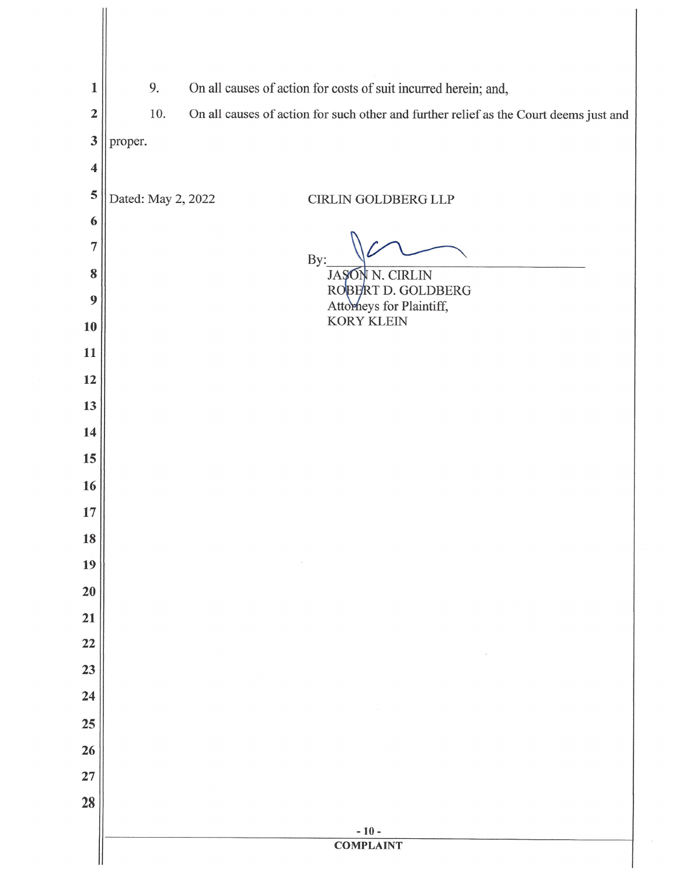| $\mathbf{1}$            | 9.                                                                                           | On all causes of action for costs of suit incurred herein; and, |  |  |
|-------------------------|----------------------------------------------------------------------------------------------|-----------------------------------------------------------------|--|--|
| $\overline{2}$          | 10.<br>On all causes of action for such other and further relief as the Court deems just and |                                                                 |  |  |
| $\mathbf{3}$            | proper.                                                                                      |                                                                 |  |  |
| $\overline{\mathbf{4}}$ |                                                                                              |                                                                 |  |  |
| 5                       | Dated: May 2, 2022                                                                           | CIRLIN GOLDBERG LLP                                             |  |  |
| 6                       |                                                                                              |                                                                 |  |  |
| 7                       |                                                                                              | By:                                                             |  |  |
| 8                       |                                                                                              | JAŞON N. CIRLIN<br>ROBERT D. GOLDBERG                           |  |  |
| 9                       |                                                                                              | Attorneys for Plaintiff,<br><b>KORY KLEIN</b>                   |  |  |
| 10                      |                                                                                              |                                                                 |  |  |
| 11                      |                                                                                              |                                                                 |  |  |
| 12<br>13                |                                                                                              |                                                                 |  |  |
| 14                      |                                                                                              |                                                                 |  |  |
| 15                      |                                                                                              |                                                                 |  |  |
| 16                      |                                                                                              |                                                                 |  |  |
| 17                      |                                                                                              |                                                                 |  |  |
| 18                      |                                                                                              |                                                                 |  |  |
| 19                      |                                                                                              |                                                                 |  |  |
| 20                      |                                                                                              |                                                                 |  |  |
| 21                      |                                                                                              |                                                                 |  |  |
| 22                      |                                                                                              |                                                                 |  |  |
| 23                      |                                                                                              |                                                                 |  |  |
| 24                      |                                                                                              |                                                                 |  |  |
| 25                      |                                                                                              |                                                                 |  |  |
| 26                      |                                                                                              |                                                                 |  |  |
| 27                      |                                                                                              |                                                                 |  |  |
| 28                      |                                                                                              |                                                                 |  |  |
|                         |                                                                                              | $-10-$<br><b>COMPLAINT</b>                                      |  |  |
|                         |                                                                                              |                                                                 |  |  |